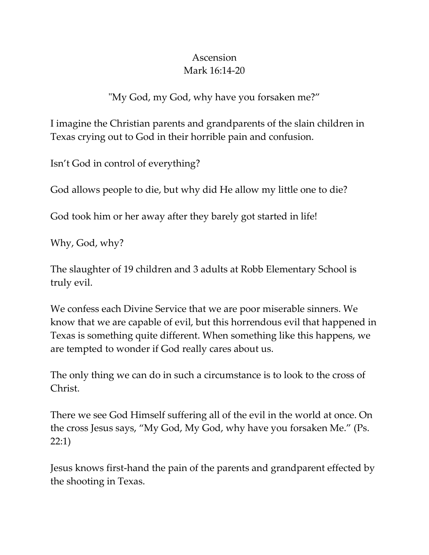## Ascension Mark 16:14-20

"My God, my God, why have you forsaken me?"

I imagine the Christian parents and grandparents of the slain children in Texas crying out to God in their horrible pain and confusion.

Isn't God in control of everything?

God allows people to die, but why did He allow my little one to die?

God took him or her away after they barely got started in life!

Why, God, why?

The slaughter of 19 children and 3 adults at Robb Elementary School is truly evil.

We confess each Divine Service that we are poor miserable sinners. We know that we are capable of evil, but this horrendous evil that happened in Texas is something quite different. When something like this happens, we are tempted to wonder if God really cares about us.

The only thing we can do in such a circumstance is to look to the cross of Christ.

There we see God Himself suffering all of the evil in the world at once. On the cross Jesus says, "My God, My God, why have you forsaken Me." (Ps. 22:1)

Jesus knows first-hand the pain of the parents and grandparent effected by the shooting in Texas.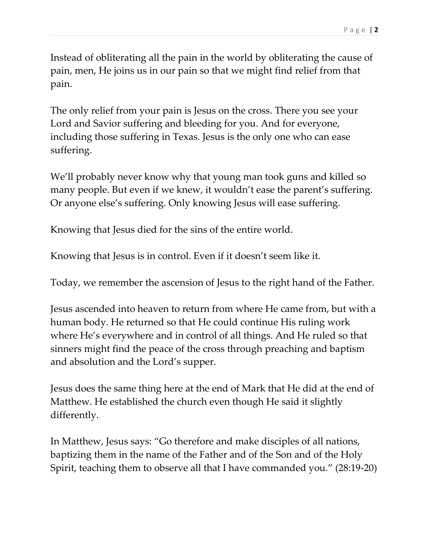Instead of obliterating all the pain in the world by obliterating the cause of pain, men, He joins us in our pain so that we might find relief from that pain.

The only relief from your pain is Jesus on the cross. There you see your Lord and Savior suffering and bleeding for you. And for everyone, including those suffering in Texas. Jesus is the only one who can ease suffering.

We'll probably never know why that young man took guns and killed so many people. But even if we knew, it wouldn't ease the parent's suffering. Or anyone else's suffering. Only knowing Jesus will ease suffering.

Knowing that Jesus died for the sins of the entire world.

Knowing that Jesus is in control. Even if it doesn't seem like it.

Today, we remember the ascension of Jesus to the right hand of the Father.

Jesus ascended into heaven to return from where He came from, but with a human body. He returned so that He could continue His ruling work where He's everywhere and in control of all things. And He ruled so that sinners might find the peace of the cross through preaching and baptism and absolution and the Lord's supper.

Jesus does the same thing here at the end of Mark that He did at the end of Matthew. He established the church even though He said it slightly differently.

In Matthew, Jesus says: "Go therefore and make disciples of all nations, baptizing them in the name of the Father and of the Son and of the Holy Spirit, teaching them to observe all that I have commanded you." (28:19-20)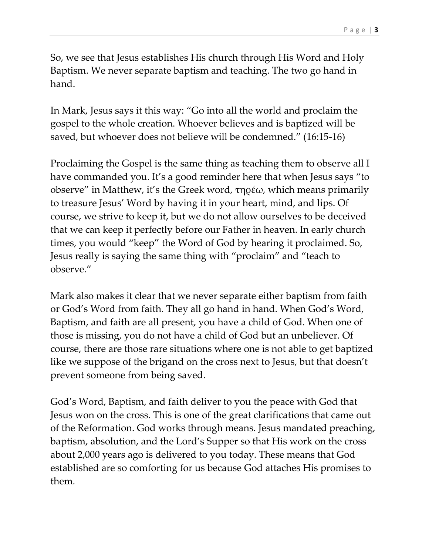So, we see that Jesus establishes His church through His Word and Holy Baptism. We never separate baptism and teaching. The two go hand in hand.

In Mark, Jesus says it this way: "Go into all the world and proclaim the gospel to the whole creation. Whoever believes and is baptized will be saved, but whoever does not believe will be condemned." (16:15-16)

Proclaiming the Gospel is the same thing as teaching them to observe all I have commanded you. It's a good reminder here that when Jesus says "to observe" in Matthew, it's the Greek word, τηρέω, which means primarily to treasure Jesus' Word by having it in your heart, mind, and lips. Of course, we strive to keep it, but we do not allow ourselves to be deceived that we can keep it perfectly before our Father in heaven. In early church times, you would "keep" the Word of God by hearing it proclaimed. So, Jesus really is saying the same thing with "proclaim" and "teach to observe."

Mark also makes it clear that we never separate either baptism from faith or God's Word from faith. They all go hand in hand. When God's Word, Baptism, and faith are all present, you have a child of God. When one of those is missing, you do not have a child of God but an unbeliever. Of course, there are those rare situations where one is not able to get baptized like we suppose of the brigand on the cross next to Jesus, but that doesn't prevent someone from being saved.

God's Word, Baptism, and faith deliver to you the peace with God that Jesus won on the cross. This is one of the great clarifications that came out of the Reformation. God works through means. Jesus mandated preaching, baptism, absolution, and the Lord's Supper so that His work on the cross about 2,000 years ago is delivered to you today. These means that God established are so comforting for us because God attaches His promises to them.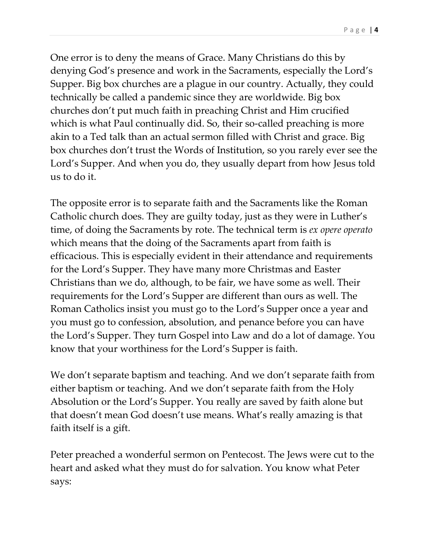One error is to deny the means of Grace. Many Christians do this by denying God's presence and work in the Sacraments, especially the Lord's Supper. Big box churches are a plague in our country. Actually, they could technically be called a pandemic since they are worldwide. Big box churches don't put much faith in preaching Christ and Him crucified which is what Paul continually did. So, their so-called preaching is more akin to a Ted talk than an actual sermon filled with Christ and grace. Big box churches don't trust the Words of Institution, so you rarely ever see the Lord's Supper. And when you do, they usually depart from how Jesus told us to do it.

The opposite error is to separate faith and the Sacraments like the Roman Catholic church does. They are guilty today, just as they were in Luther's time, of doing the Sacraments by rote. The technical term is *ex opere operato* which means that the doing of the Sacraments apart from faith is efficacious. This is especially evident in their attendance and requirements for the Lord's Supper. They have many more Christmas and Easter Christians than we do, although, to be fair, we have some as well. Their requirements for the Lord's Supper are different than ours as well. The Roman Catholics insist you must go to the Lord's Supper once a year and you must go to confession, absolution, and penance before you can have the Lord's Supper. They turn Gospel into Law and do a lot of damage. You know that your worthiness for the Lord's Supper is faith.

We don't separate baptism and teaching. And we don't separate faith from either baptism or teaching. And we don't separate faith from the Holy Absolution or the Lord's Supper. You really are saved by faith alone but that doesn't mean God doesn't use means. What's really amazing is that faith itself is a gift.

Peter preached a wonderful sermon on Pentecost. The Jews were cut to the heart and asked what they must do for salvation. You know what Peter says: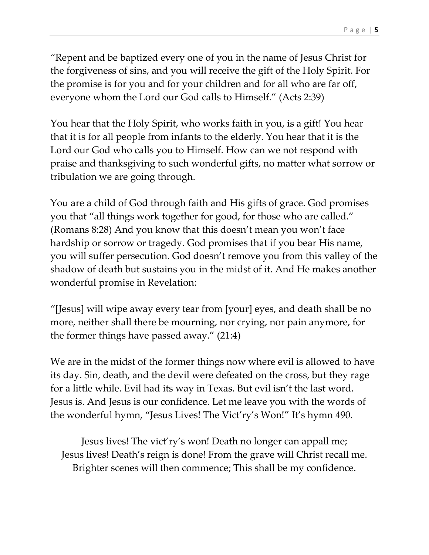"Repent and be baptized every one of you in the name of Jesus Christ for the forgiveness of sins, and you will receive the gift of the Holy Spirit. For the promise is for you and for your children and for all who are far off, everyone whom the Lord our God calls to Himself." (Acts 2:39)

You hear that the Holy Spirit, who works faith in you, is a gift! You hear that it is for all people from infants to the elderly. You hear that it is the Lord our God who calls you to Himself. How can we not respond with praise and thanksgiving to such wonderful gifts, no matter what sorrow or tribulation we are going through.

You are a child of God through faith and His gifts of grace. God promises you that "all things work together for good, for those who are called." (Romans 8:28) And you know that this doesn't mean you won't face hardship or sorrow or tragedy. God promises that if you bear His name, you will suffer persecution. God doesn't remove you from this valley of the shadow of death but sustains you in the midst of it. And He makes another wonderful promise in Revelation:

"[Jesus] will wipe away every tear from [your] eyes, and death shall be no more, neither shall there be mourning, nor crying, nor pain anymore, for the former things have passed away." (21:4)

We are in the midst of the former things now where evil is allowed to have its day. Sin, death, and the devil were defeated on the cross, but they rage for a little while. Evil had its way in Texas. But evil isn't the last word. Jesus is. And Jesus is our confidence. Let me leave you with the words of the wonderful hymn, "Jesus Lives! The Vict'ry's Won!" It's hymn 490.

Jesus lives! The vict'ry's won! Death no longer can appall me; Jesus lives! Death's reign is done! From the grave will Christ recall me. Brighter scenes will then commence; This shall be my confidence.